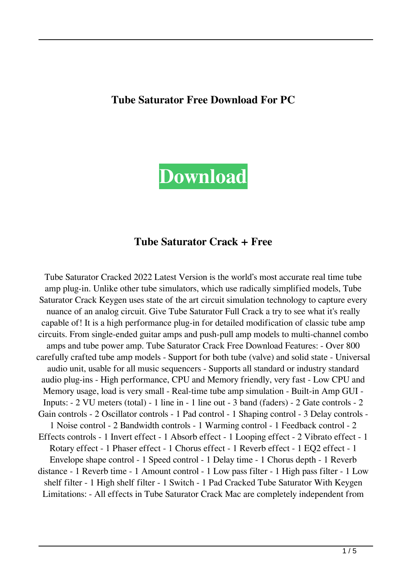#### **Tube Saturator Free Download For PC**



#### **Tube Saturator Crack + Free**

Tube Saturator Cracked 2022 Latest Version is the world's most accurate real time tube amp plug-in. Unlike other tube simulators, which use radically simplified models, Tube Saturator Crack Keygen uses state of the art circuit simulation technology to capture every nuance of an analog circuit. Give Tube Saturator Full Crack a try to see what it's really capable of! It is a high performance plug-in for detailed modification of classic tube amp circuits. From single-ended guitar amps and push-pull amp models to multi-channel combo amps and tube power amp. Tube Saturator Crack Free Download Features: - Over 800 carefully crafted tube amp models - Support for both tube (valve) and solid state - Universal audio unit, usable for all music sequencers - Supports all standard or industry standard audio plug-ins - High performance, CPU and Memory friendly, very fast - Low CPU and Memory usage, load is very small - Real-time tube amp simulation - Built-in Amp GUI - Inputs: - 2 VU meters (total) - 1 line in - 1 line out - 3 band (faders) - 2 Gate controls - 2 Gain controls - 2 Oscillator controls - 1 Pad control - 1 Shaping control - 3 Delay controls - 1 Noise control - 2 Bandwidth controls - 1 Warming control - 1 Feedback control - 2 Effects controls - 1 Invert effect - 1 Absorb effect - 1 Looping effect - 2 Vibrato effect - 1 Rotary effect - 1 Phaser effect - 1 Chorus effect - 1 Reverb effect - 1 EQ2 effect - 1 Envelope shape control - 1 Speed control - 1 Delay time - 1 Chorus depth - 1 Reverb distance - 1 Reverb time - 1 Amount control - 1 Low pass filter - 1 High pass filter - 1 Low shelf filter - 1 High shelf filter - 1 Switch - 1 Pad Cracked Tube Saturator With Keygen Limitations: - All effects in Tube Saturator Crack Mac are completely independent from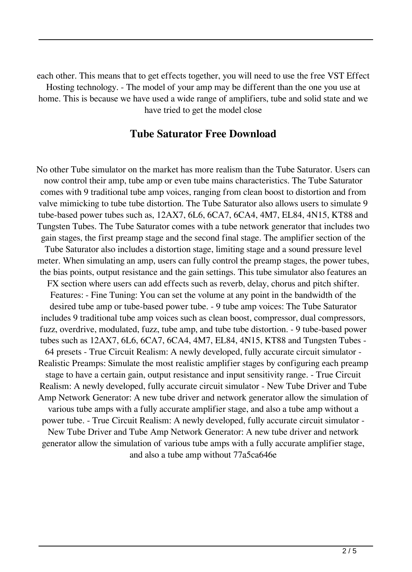each other. This means that to get effects together, you will need to use the free VST Effect Hosting technology. - The model of your amp may be different than the one you use at home. This is because we have used a wide range of amplifiers, tube and solid state and we have tried to get the model close

#### **Tube Saturator Free Download**

No other Tube simulator on the market has more realism than the Tube Saturator. Users can now control their amp, tube amp or even tube mains characteristics. The Tube Saturator comes with 9 traditional tube amp voices, ranging from clean boost to distortion and from valve mimicking to tube tube distortion. The Tube Saturator also allows users to simulate 9 tube-based power tubes such as, 12AX7, 6L6, 6CA7, 6CA4, 4M7, EL84, 4N15, KT88 and Tungsten Tubes. The Tube Saturator comes with a tube network generator that includes two gain stages, the first preamp stage and the second final stage. The amplifier section of the Tube Saturator also includes a distortion stage, limiting stage and a sound pressure level meter. When simulating an amp, users can fully control the preamp stages, the power tubes, the bias points, output resistance and the gain settings. This tube simulator also features an FX section where users can add effects such as reverb, delay, chorus and pitch shifter. Features: - Fine Tuning: You can set the volume at any point in the bandwidth of the desired tube amp or tube-based power tube. - 9 tube amp voices: The Tube Saturator includes 9 traditional tube amp voices such as clean boost, compressor, dual compressors, fuzz, overdrive, modulated, fuzz, tube amp, and tube tube distortion. - 9 tube-based power tubes such as 12AX7, 6L6, 6CA7, 6CA4, 4M7, EL84, 4N15, KT88 and Tungsten Tubes - 64 presets - True Circuit Realism: A newly developed, fully accurate circuit simulator - Realistic Preamps: Simulate the most realistic amplifier stages by configuring each preamp stage to have a certain gain, output resistance and input sensitivity range. - True Circuit Realism: A newly developed, fully accurate circuit simulator - New Tube Driver and Tube Amp Network Generator: A new tube driver and network generator allow the simulation of various tube amps with a fully accurate amplifier stage, and also a tube amp without a power tube. - True Circuit Realism: A newly developed, fully accurate circuit simulator - New Tube Driver and Tube Amp Network Generator: A new tube driver and network generator allow the simulation of various tube amps with a fully accurate amplifier stage, and also a tube amp without 77a5ca646e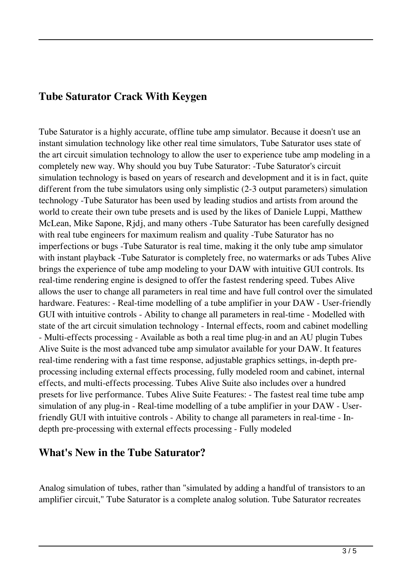### **Tube Saturator Crack With Keygen**

Tube Saturator is a highly accurate, offline tube amp simulator. Because it doesn't use an instant simulation technology like other real time simulators, Tube Saturator uses state of the art circuit simulation technology to allow the user to experience tube amp modeling in a completely new way. Why should you buy Tube Saturator: -Tube Saturator's circuit simulation technology is based on years of research and development and it is in fact, quite different from the tube simulators using only simplistic (2-3 output parameters) simulation technology -Tube Saturator has been used by leading studios and artists from around the world to create their own tube presets and is used by the likes of Daniele Luppi, Matthew McLean, Mike Sapone, Rjdj, and many others -Tube Saturator has been carefully designed with real tube engineers for maximum realism and quality -Tube Saturator has no imperfections or bugs -Tube Saturator is real time, making it the only tube amp simulator with instant playback -Tube Saturator is completely free, no watermarks or ads Tubes Alive brings the experience of tube amp modeling to your DAW with intuitive GUI controls. Its real-time rendering engine is designed to offer the fastest rendering speed. Tubes Alive allows the user to change all parameters in real time and have full control over the simulated hardware. Features: - Real-time modelling of a tube amplifier in your DAW - User-friendly GUI with intuitive controls - Ability to change all parameters in real-time - Modelled with state of the art circuit simulation technology - Internal effects, room and cabinet modelling - Multi-effects processing - Available as both a real time plug-in and an AU plugin Tubes Alive Suite is the most advanced tube amp simulator available for your DAW. It features real-time rendering with a fast time response, adjustable graphics settings, in-depth preprocessing including external effects processing, fully modeled room and cabinet, internal effects, and multi-effects processing. Tubes Alive Suite also includes over a hundred presets for live performance. Tubes Alive Suite Features: - The fastest real time tube amp simulation of any plug-in - Real-time modelling of a tube amplifier in your DAW - Userfriendly GUI with intuitive controls - Ability to change all parameters in real-time - Indepth pre-processing with external effects processing - Fully modeled

## **What's New in the Tube Saturator?**

Analog simulation of tubes, rather than "simulated by adding a handful of transistors to an amplifier circuit," Tube Saturator is a complete analog solution. Tube Saturator recreates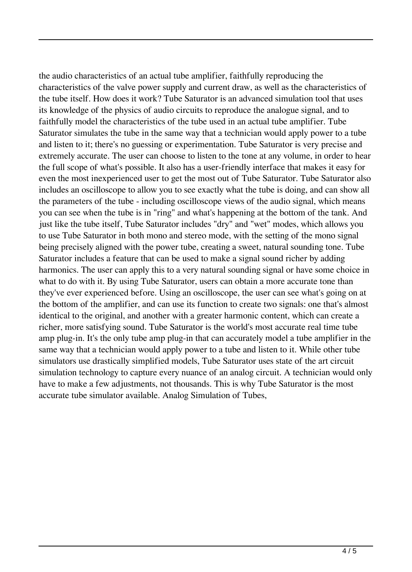the audio characteristics of an actual tube amplifier, faithfully reproducing the characteristics of the valve power supply and current draw, as well as the characteristics of the tube itself. How does it work? Tube Saturator is an advanced simulation tool that uses its knowledge of the physics of audio circuits to reproduce the analogue signal, and to faithfully model the characteristics of the tube used in an actual tube amplifier. Tube Saturator simulates the tube in the same way that a technician would apply power to a tube and listen to it; there's no guessing or experimentation. Tube Saturator is very precise and extremely accurate. The user can choose to listen to the tone at any volume, in order to hear the full scope of what's possible. It also has a user-friendly interface that makes it easy for even the most inexperienced user to get the most out of Tube Saturator. Tube Saturator also includes an oscilloscope to allow you to see exactly what the tube is doing, and can show all the parameters of the tube - including oscilloscope views of the audio signal, which means you can see when the tube is in "ring" and what's happening at the bottom of the tank. And just like the tube itself, Tube Saturator includes "dry" and "wet" modes, which allows you to use Tube Saturator in both mono and stereo mode, with the setting of the mono signal being precisely aligned with the power tube, creating a sweet, natural sounding tone. Tube Saturator includes a feature that can be used to make a signal sound richer by adding harmonics. The user can apply this to a very natural sounding signal or have some choice in what to do with it. By using Tube Saturator, users can obtain a more accurate tone than they've ever experienced before. Using an oscilloscope, the user can see what's going on at the bottom of the amplifier, and can use its function to create two signals: one that's almost identical to the original, and another with a greater harmonic content, which can create a richer, more satisfying sound. Tube Saturator is the world's most accurate real time tube amp plug-in. It's the only tube amp plug-in that can accurately model a tube amplifier in the same way that a technician would apply power to a tube and listen to it. While other tube simulators use drastically simplified models, Tube Saturator uses state of the art circuit simulation technology to capture every nuance of an analog circuit. A technician would only have to make a few adjustments, not thousands. This is why Tube Saturator is the most accurate tube simulator available. Analog Simulation of Tubes,